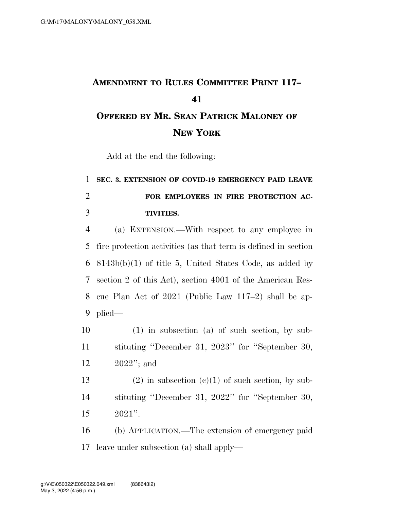## **AMENDMENT TO RULES COMMITTEE PRINT 117– OFFERED BY MR. SEAN PATRICK MALONEY OF NEW YORK**

Add at the end the following:

## **SEC. 3. EXTENSION OF COVID-19 EMERGENCY PAID LEAVE FOR EMPLOYEES IN FIRE PROTECTION AC-TIVITIES.**

 (a) EXTENSION.—With respect to any employee in fire protection activities (as that term is defined in section 8143b(b)(1) of title 5, United States Code, as added by section 2 of this Act), section 4001 of the American Res- cue Plan Act of 2021 (Public Law 117–2) shall be ap-plied—

 (1) in subsection (a) of such section, by sub- stituting ''December 31, 2023'' for ''September 30, 2022''; and

13 (2) in subsection  $(c)(1)$  of such section, by sub- stituting ''December 31, 2022'' for ''September 30, 2021''.

 (b) APPLICATION.—The extension of emergency paid leave under subsection (a) shall apply